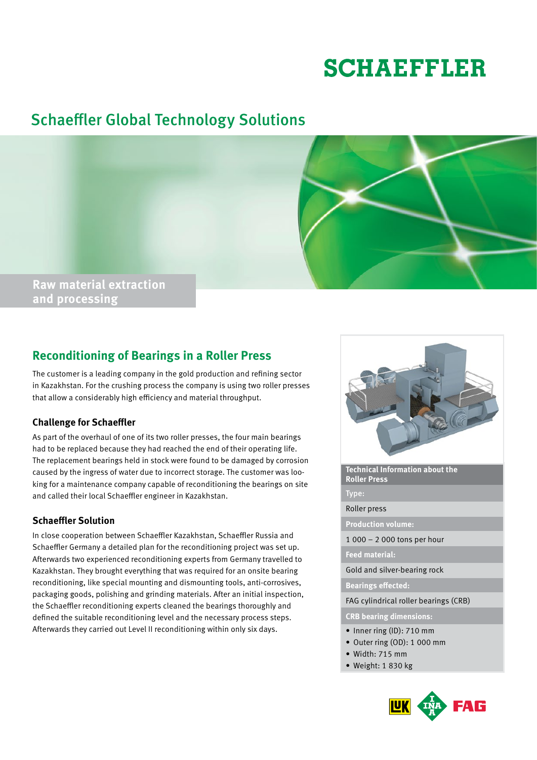# **SCHAEFFLER**

# Schaeffler Global Technology Solutions



# **Reconditioning of Bearings in a Roller Press**

The customer is a leading company in the gold production and refining sector in Kazakhstan. For the crushing process the company is using two roller presses that allow a considerably high efficiency and material throughput.

# **Challenge for Schaeffler**

As part of the overhaul of one of its two roller presses, the four main bearings had to be replaced because they had reached the end of their operating life. The replacement bearings held in stock were found to be damaged by corrosion caused by the ingress of water due to incorrect storage. The customer was looking for a maintenance company capable of reconditioning the bearings on site and called their local Schaeffler engineer in Kazakhstan.

### **Schaeffler Solution**

In close cooperation between Schaeffler Kazakhstan, Schaeffler Russia and Schaeffler Germany a detailed plan for the reconditioning project was set up. Afterwards two experienced reconditioning experts from Germany travelled to Kazakhstan. They brought everything that was required for an onsite bearing reconditioning, like special mounting and dismounting tools, anti-corrosives, packaging goods, polishing and grinding materials. After an initial inspection, the Schaeffler reconditioning experts cleaned the bearings thoroughly and defined the suitable reconditioning level and the necessary process steps. Afterwards they carried out Level II reconditioning within only six days.



**Technical Information about the Roller Press**

Type:

#### Roller press

**Production volume:** 

1 000 – 2 000 tons per hour

#### **Feed material:**

Gold and silver-bearing rock

**Bearings effected:** 

FAG cylindrical roller bearings (CRB)

**CRB bearing dimensions:**

- Inner ring (ID): 710 mm
- • Outer ring (OD): 1 000 mm
- $\bullet$  Width: 715 mm
- • Weight: 1 830 kg